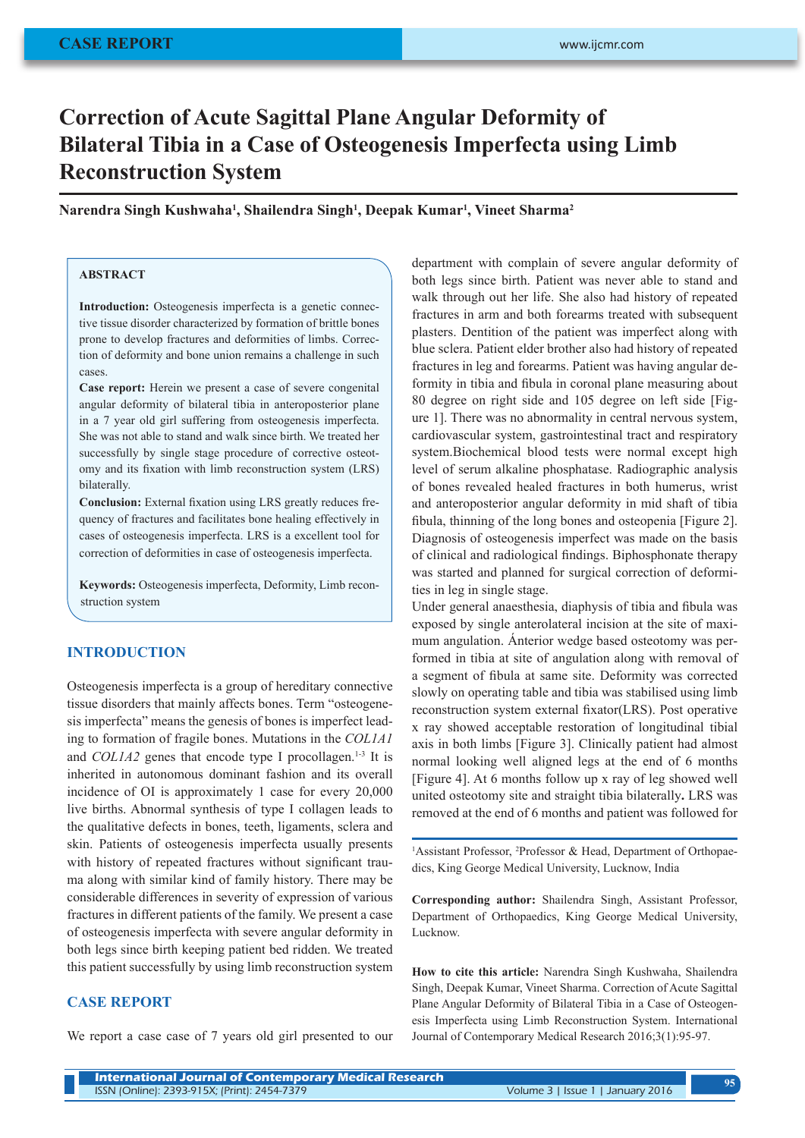# **Correction of Acute Sagittal Plane Angular Deformity of Bilateral Tibia in a Case of Osteogenesis Imperfecta using Limb Reconstruction System**

### **Narendra Singh Kushwaha1 , Shailendra Singh1 , Deepak Kumar1 , Vineet Sharma2**

# **ABSTRACT**

**Introduction:** Osteogenesis imperfecta is a genetic connective tissue disorder characterized by formation of brittle bones prone to develop fractures and deformities of limbs. Correction of deformity and bone union remains a challenge in such cases.

**Case report:** Herein we present a case of severe congenital angular deformity of bilateral tibia in anteroposterior plane in a 7 year old girl suffering from osteogenesis imperfecta. She was not able to stand and walk since birth. We treated her successfully by single stage procedure of corrective osteotomy and its fixation with limb reconstruction system (LRS) bilaterally.

**Conclusion:** External fixation using LRS greatly reduces frequency of fractures and facilitates bone healing effectively in cases of osteogenesis imperfecta. LRS is a excellent tool for correction of deformities in case of osteogenesis imperfecta.

**Keywords:** Osteogenesis imperfecta, Deformity, Limb reconstruction system

#### **INTRODUCTION**

Osteogenesis imperfecta is a group of hereditary connective tissue disorders that mainly affects bones. Term "osteogenesis imperfecta" means the genesis of bones is imperfect leading to formation of fragile bones. Mutations in the *COL1A1* and *COL1A2* genes that encode type I procollagen.<sup>1-3</sup> It is inherited in autonomous dominant fashion and its overall incidence of OI is approximately 1 case for every 20,000 live births. Abnormal synthesis of type I collagen leads to the qualitative defects in bones, teeth, ligaments, sclera and skin. Patients of osteogenesis imperfecta usually presents with history of repeated fractures without significant trauma along with similar kind of family history. There may be considerable differences in severity of expression of various fractures in different patients of the family. We present a case of osteogenesis imperfecta with severe angular deformity in both legs since birth keeping patient bed ridden. We treated this patient successfully by using limb reconstruction system

# **CASE REPORT**

We report a case case of 7 years old girl presented to our

department with complain of severe angular deformity of both legs since birth. Patient was never able to stand and walk through out her life. She also had history of repeated fractures in arm and both forearms treated with subsequent plasters. Dentition of the patient was imperfect along with blue sclera. Patient elder brother also had history of repeated fractures in leg and forearms. Patient was having angular deformity in tibia and fibula in coronal plane measuring about 80 degree on right side and 105 degree on left side [Figure 1]. There was no abnormality in central nervous system, cardiovascular system, gastrointestinal tract and respiratory system.Biochemical blood tests were normal except high level of serum alkaline phosphatase. Radiographic analysis of bones revealed healed fractures in both humerus, wrist and anteroposterior angular deformity in mid shaft of tibia fibula, thinning of the long bones and osteopenia [Figure 2]. Diagnosis of osteogenesis imperfect was made on the basis of clinical and radiological findings. Biphosphonate therapy was started and planned for surgical correction of deformities in leg in single stage.

Under general anaesthesia, diaphysis of tibia and fibula was exposed by single anterolateral incision at the site of maximum angulation. Ánterior wedge based osteotomy was performed in tibia at site of angulation along with removal of a segment of fibula at same site. Deformity was corrected slowly on operating table and tibia was stabilised using limb reconstruction system external fixator(LRS). Post operative x ray showed acceptable restoration of longitudinal tibial axis in both limbs [Figure 3]. Clinically patient had almost normal looking well aligned legs at the end of 6 months [Figure 4]. At 6 months follow up x ray of leg showed well united osteotomy site and straight tibia bilaterally**.** LRS was removed at the end of 6 months and patient was followed for

<sup>1</sup>Assistant Professor, <sup>2</sup>Professor & Head, Department of Orthopaedics, King George Medical University, Lucknow, India

**Corresponding author:** Shailendra Singh, Assistant Professor, Department of Orthopaedics, King George Medical University, Lucknow.

**How to cite this article:** Narendra Singh Kushwaha, Shailendra Singh, Deepak Kumar, Vineet Sharma. Correction of Acute Sagittal Plane Angular Deformity of Bilateral Tibia in a Case of Osteogenesis Imperfecta using Limb Reconstruction System. International Journal of Contemporary Medical Research 2016;3(1):95-97.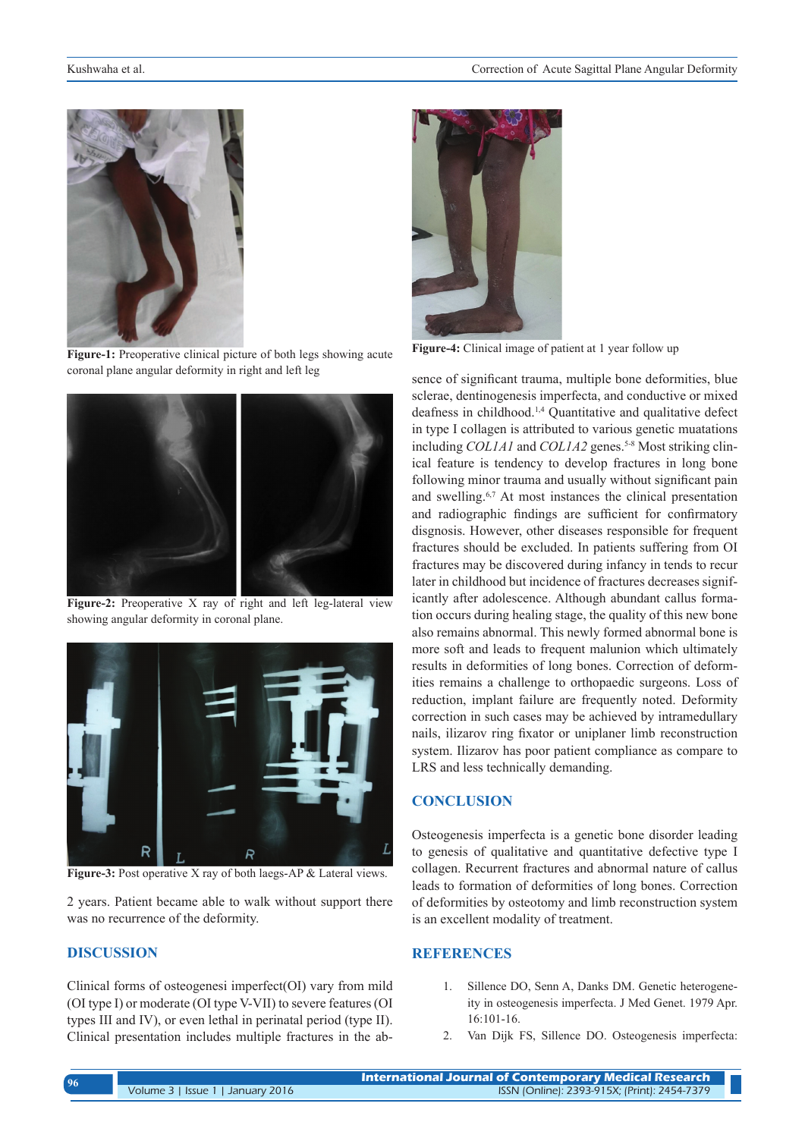

**Figure-1:** Preoperative clinical picture of both legs showing acute coronal plane angular deformity in right and left leg



**Figure-2:** Preoperative X ray of right and left leg-lateral view showing angular deformity in coronal plane.



**Figure-3:** Post operative X ray of both laegs-AP & Lateral views.

2 years. Patient became able to walk without support there was no recurrence of the deformity.

# **DISCUSSION**

Clinical forms of osteogenesi imperfect(OI) vary from mild (OI type I) or moderate (OI type V-VII) to severe features (OI types III and IV), or even lethal in perinatal period (type II). Clinical presentation includes multiple fractures in the ab-



**Figure-4:** Clinical image of patient at 1 year follow up

sence of significant trauma, multiple bone deformities, blue sclerae, dentinogenesis imperfecta, and conductive or mixed deafness in childhood.1,4 Quantitative and qualitative defect in type I collagen is attributed to various genetic muatations including *COL1A1* and *COL1A2* genes.<sup>5-8</sup> Most striking clinical feature is tendency to develop fractures in long bone following minor trauma and usually without significant pain and swelling.6,7 At most instances the clinical presentation and radiographic findings are sufficient for confirmatory disgnosis. However, other diseases responsible for frequent fractures should be excluded. In patients suffering from OI fractures may be discovered during infancy in tends to recur later in childhood but incidence of fractures decreases significantly after adolescence. Although abundant callus formation occurs during healing stage, the quality of this new bone also remains abnormal. This newly formed abnormal bone is more soft and leads to frequent malunion which ultimately results in deformities of long bones. Correction of deformities remains a challenge to orthopaedic surgeons. Loss of reduction, implant failure are frequently noted. Deformity correction in such cases may be achieved by intramedullary nails, ilizarov ring fixator or uniplaner limb reconstruction system. Ilizarov has poor patient compliance as compare to LRS and less technically demanding.

## **CONCLUSION**

Osteogenesis imperfecta is a genetic bone disorder leading to genesis of qualitative and quantitative defective type I collagen. Recurrent fractures and abnormal nature of callus leads to formation of deformities of long bones. Correction of deformities by osteotomy and limb reconstruction system is an excellent modality of treatment.

# **REFERENCES**

- 1. Sillence DO, Senn A, Danks DM. Genetic heterogeneity in osteogenesis imperfecta. J Med Genet. 1979 Apr. 16:101-16.
- 2. Van Dijk FS, Sillence DO. Osteogenesis imperfecta: